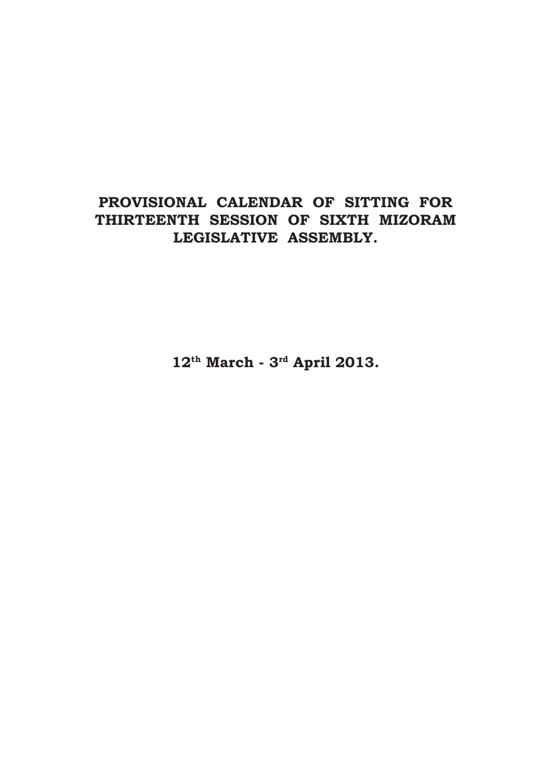## PROVISIONAL CALENDAR OF SITTING FOR THIRTEENTH SESSION OF SIXTH MIZORAM LEGISLATIVE ASSEMBLY.

12th March - 3rd April 2013.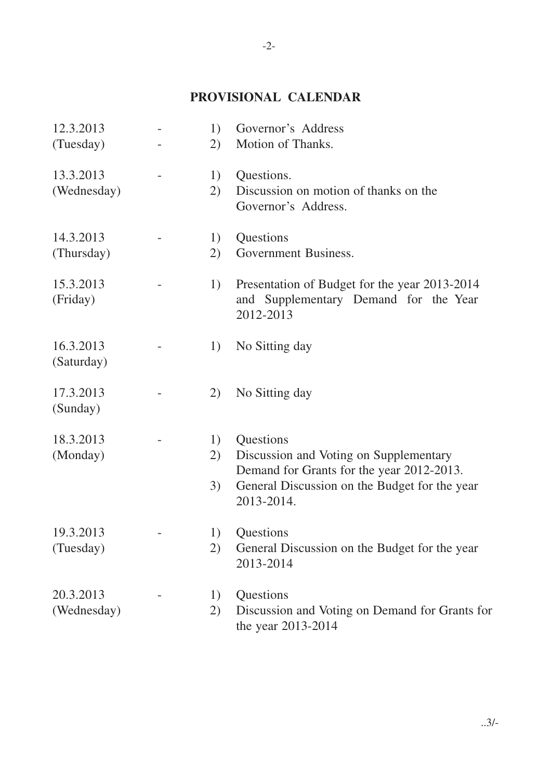## **PROVISIONAL CALENDAR**

| 12.3.2013<br>(Tuesday)   | 1)<br>2)       | Governor's Address<br>Motion of Thanks.                                                                                                                         |
|--------------------------|----------------|-----------------------------------------------------------------------------------------------------------------------------------------------------------------|
| 13.3.2013<br>(Wednesday) | 1)<br>2)       | Questions.<br>Discussion on motion of thanks on the<br>Governor's Address.                                                                                      |
| 14.3.2013<br>(Thursday)  | 1)<br>2)       | Questions<br>Government Business.                                                                                                                               |
| 15.3.2013<br>(Friday)    | 1)             | Presentation of Budget for the year 2013-2014<br>and Supplementary Demand for the Year<br>2012-2013                                                             |
| 16.3.2013<br>(Saturday)  | 1)             | No Sitting day                                                                                                                                                  |
| 17.3.2013<br>(Sunday)    | 2)             | No Sitting day                                                                                                                                                  |
| 18.3.2013<br>(Monday)    | 1)<br>2)<br>3) | Questions<br>Discussion and Voting on Supplementary<br>Demand for Grants for the year 2012-2013.<br>General Discussion on the Budget for the year<br>2013-2014. |
| 19.3.2013<br>(Tuesday)   | 1)<br>2)       | <b>Ouestions</b><br>General Discussion on the Budget for the year<br>2013-2014                                                                                  |
| 20.3.2013<br>(Wednesday) | 1)<br>2)       | Questions<br>Discussion and Voting on Demand for Grants for<br>the year 2013-2014                                                                               |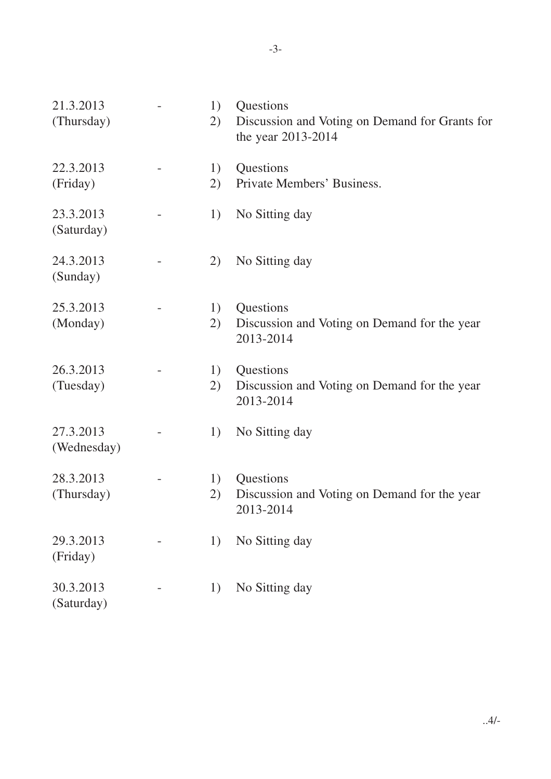| 21.3.2013<br>(Thursday)  | 1)<br>2) | Questions<br>Discussion and Voting on Demand for Grants for<br>the year 2013-2014 |
|--------------------------|----------|-----------------------------------------------------------------------------------|
| 22.3.2013<br>(Friday)    | 1)<br>2) | Questions<br>Private Members' Business.                                           |
| 23.3.2013<br>(Saturday)  | 1)       | No Sitting day                                                                    |
| 24.3.2013<br>(Sunday)    | 2)       | No Sitting day                                                                    |
| 25.3.2013<br>(Monday)    | 1)<br>2) | Questions<br>Discussion and Voting on Demand for the year<br>2013-2014            |
| 26.3.2013<br>(Tuesday)   | 1)<br>2) | Questions<br>Discussion and Voting on Demand for the year<br>2013-2014            |
| 27.3.2013<br>(Wednesday) | 1)       | No Sitting day                                                                    |
| 28.3.2013<br>(Thursday)  | 1)<br>2) | Questions<br>Discussion and Voting on Demand for the year<br>2013-2014            |
| 29.3.2013<br>(Friday)    | 1)       | No Sitting day                                                                    |
| 30.3.2013<br>(Saturday)  | 1)       | No Sitting day                                                                    |